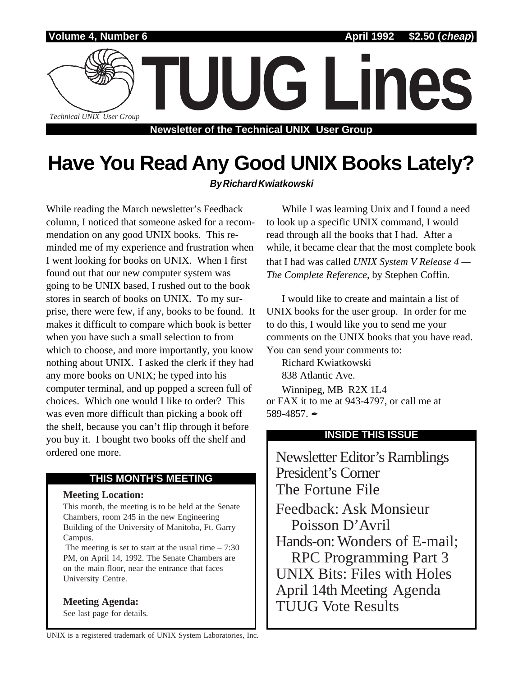

# **Have You Read Any Good UNIX Books Lately?**

# **By Richard Kwiatkowski**

While reading the March newsletter's Feedback column, I noticed that someone asked for a recommendation on any good UNIX books. This reminded me of my experience and frustration when I went looking for books on UNIX. When I first found out that our new computer system was going to be UNIX based, I rushed out to the book stores in search of books on UNIX. To my surprise, there were few, if any, books to be found. It makes it difficult to compare which book is better when you have such a small selection to from which to choose, and more importantly, you know nothing about UNIX. I asked the clerk if they had any more books on UNIX; he typed into his computer terminal, and up popped a screen full of choices. Which one would I like to order? This was even more difficult than picking a book off the shelf, because you can't flip through it before you buy it. I bought two books off the shelf and ordered one more.

# **THIS MONTH'S MEETING**

### **Meeting Location:**

This month, the meeting is to be held at the Senate Chambers, room 245 in the new Engineering Building of the University of Manitoba, Ft. Garry Campus.

The meeting is set to start at the usual time  $-7:30$ PM, on April 14, 1992. The Senate Chambers are on the main floor, near the entrance that faces University Centre.

# **Meeting Agenda:**

See last page for details.

While I was learning Unix and I found a need to look up a specific UNIX command, I would read through all the books that I had. After a while, it became clear that the most complete book that I had was called *UNIX System V Release 4 — The Complete Reference*, by Stephen Coffin.

I would like to create and maintain a list of UNIX books for the user group. In order for me to do this, I would like you to send me your comments on the UNIX books that you have read. You can send your comments to:

Richard Kwiatkowski

838 Atlantic Ave.

Winnipeg, MB R2X 1L4 or FAX it to me at 943-4797, or call me at 589-4857. $\blacksquare$ 

# **INSIDE THIS ISSUE**

Newsletter Editor's Ramblings President's Corner The Fortune File Feedback: Ask Monsieur Poisson D'Avril Hands-on: Wonders of E-mail; RPC Programming Part 3 UNIX Bits: Files with Holes April 14th Meeting Agenda TUUG Vote Results

UNIX is a registered trademark of UNIX System Laboratories, Inc.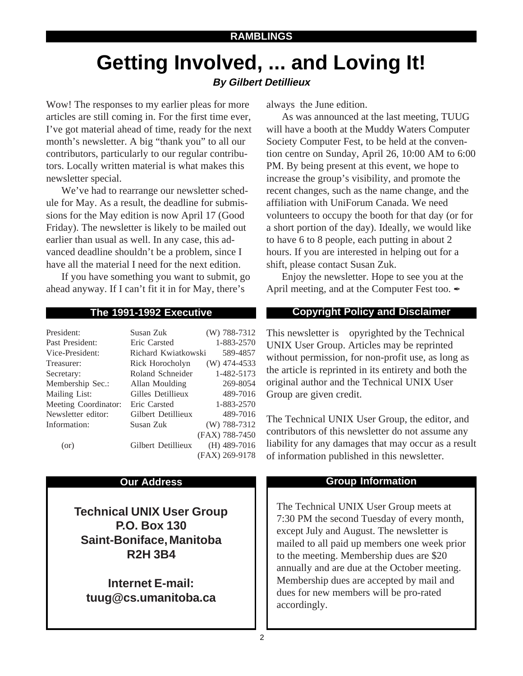# **Getting Involved, ... and Loving It! By Gilbert Detillieux**

Wow! The responses to my earlier pleas for more articles are still coming in. For the first time ever, I've got material ahead of time, ready for the next month's newsletter. A big "thank you" to all our contributors, particularly to our regular contributors. Locally written material is what makes this newsletter special.

We've had to rearrange our newsletter schedule for May. As a result, the deadline for submissions for the May edition is now April 17 (Good Friday). The newsletter is likely to be mailed out earlier than usual as well. In any case, this advanced deadline shouldn't be a problem, since I have all the material I need for the next edition.

If you have something you want to submit, go ahead anyway. If I can't fit it in for May, there's

| President:           | Susan Zuk           | $(W)$ 788-7312 |
|----------------------|---------------------|----------------|
| Past President:      | Eric Carsted        | 1-883-2570     |
| Vice-President:      | Richard Kwiatkowski | 589-4857       |
| Treasurer:           | Rick Horocholyn     | $(W)$ 474-4533 |
| Secretary:           | Roland Schneider    | 1-482-5173     |
| Membership Sec.:     | Allan Moulding      | 269-8054       |
| Mailing List:        | Gilles Detillieux   | 489-7016       |
| Meeting Coordinator: | Eric Carsted        | 1-883-2570     |
| Newsletter editor:   | Gilbert Detillieux  | 489-7016       |
| Information:         | Susan Zuk           | (W) 788-7312   |
|                      |                     | (FAX) 788-7450 |
| (or)                 | Gilbert Detillieux  | $(H)$ 489-7016 |
|                      |                     | (FAX) 269-9178 |

**Technical UNIX User Group P.O. Box 130 Saint-Boniface, Manitoba R2H 3B4**

**Internet E-mail: tuug@cs.umanitoba.ca** always the June edition.

As was announced at the last meeting, TUUG will have a booth at the Muddy Waters Computer Society Computer Fest, to be held at the convention centre on Sunday, April 26, 10:00 AM to 6:00 PM. By being present at this event, we hope to increase the group's visibility, and promote the recent changes, such as the name change, and the affiliation with UniForum Canada. We need volunteers to occupy the booth for that day (or for a short portion of the day). Ideally, we would like to have 6 to 8 people, each putting in about 2 hours. If you are interested in helping out for a shift, please contact Susan Zuk.

Enjoy the newsletter. Hope to see you at the April meeting, and at the Computer Fest too.

# **The 1991-1992 Executive Copyright Policy and Disclaimer**

This newsletter is Copyrighted by the Technical UNIX User Group. Articles may be reprinted without permission, for non-profit use, as long as the article is reprinted in its entirety and both the original author and the Technical UNIX User Group are given credit.

The Technical UNIX User Group, the editor, and contributors of this newsletter do not assume any liability for any damages that may occur as a result of information published in this newsletter.

# **Our Address Community Community Community Community Community Community Community Community Community Community**

The Technical UNIX User Group meets at 7:30 PM the second Tuesday of every month, except July and August. The newsletter is mailed to all paid up members one week prior to the meeting. Membership dues are \$20 annually and are due at the October meeting. Membership dues are accepted by mail and dues for new members will be pro-rated accordingly.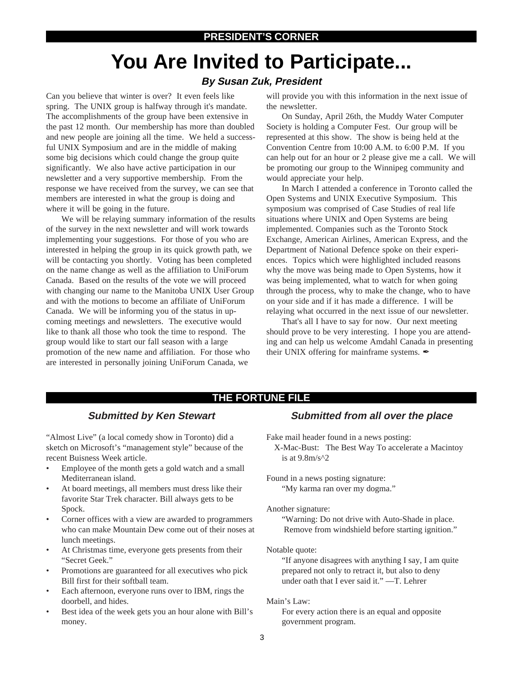# **You Are Invited to Participate...**

## **By Susan Zuk, President**

Can you believe that winter is over? It even feels like spring. The UNIX group is halfway through it's mandate. The accomplishments of the group have been extensive in the past 12 month. Our membership has more than doubled and new people are joining all the time. We held a successful UNIX Symposium and are in the middle of making some big decisions which could change the group quite significantly. We also have active participation in our newsletter and a very supportive membership. From the response we have received from the survey, we can see that members are interested in what the group is doing and where it will be going in the future.

We will be relaying summary information of the results of the survey in the next newsletter and will work towards implementing your suggestions. For those of you who are interested in helping the group in its quick growth path, we will be contacting you shortly. Voting has been completed on the name change as well as the affiliation to UniForum Canada. Based on the results of the vote we will proceed with changing our name to the Manitoba UNIX User Group and with the motions to become an affiliate of UniForum Canada. We will be informing you of the status in upcoming meetings and newsletters. The executive would like to thank all those who took the time to respond. The group would like to start our fall season with a large promotion of the new name and affiliation. For those who are interested in personally joining UniForum Canada, we

will provide you with this information in the next issue of the newsletter.

On Sunday, April 26th, the Muddy Water Computer Society is holding a Computer Fest. Our group will be represented at this show. The show is being held at the Convention Centre from 10:00 A.M. to 6:00 P.M. If you can help out for an hour or 2 please give me a call. We will be promoting our group to the Winnipeg community and would appreciate your help.

In March I attended a conference in Toronto called the Open Systems and UNIX Executive Symposium. This symposium was comprised of Case Studies of real life situations where UNIX and Open Systems are being implemented. Companies such as the Toronto Stock Exchange, American Airlines, American Express, and the Department of National Defence spoke on their experiences. Topics which were highlighted included reasons why the move was being made to Open Systems, how it was being implemented, what to watch for when going through the process, why to make the change, who to have on your side and if it has made a difference. I will be relaying what occurred in the next issue of our newsletter.

That's all I have to say for now. Our next meeting should prove to be very interesting. I hope you are attending and can help us welcome Amdahl Canada in presenting their UNIX offering for mainframe systems.  $\rlap{/}$ 

### **THE FORTUNE FILE**

### **Submitted by Ken Stewart**

"Almost Live" (a local comedy show in Toronto) did a sketch on Microsoft's "management style" because of the recent Buisness Week article.

- Employee of the month gets a gold watch and a small Mediterranean island.
- At board meetings, all members must dress like their favorite Star Trek character. Bill always gets to be Spock.
- Corner offices with a view are awarded to programmers who can make Mountain Dew come out of their noses at lunch meetings.
- At Christmas time, everyone gets presents from their "Secret Geek."
- Promotions are guaranteed for all executives who pick Bill first for their softball team.
- Each afternoon, everyone runs over to IBM, rings the doorbell, and hides.
- Best idea of the week gets you an hour alone with Bill's money.

### **Submitted from all over the place**

Fake mail header found in a news posting:

X-Mac-Bust: The Best Way To accelerate a Macintoy is at  $9.8m/s^2$ 

Found in a news posting signature: "My karma ran over my dogma."

Another signature:

"Warning: Do not drive with Auto-Shade in place. Remove from windshield before starting ignition."

### Notable quote:

"If anyone disagrees with anything I say, I am quite prepared not only to retract it, but also to deny under oath that I ever said it." —T. Lehrer

Main's Law:

For every action there is an equal and opposite government program.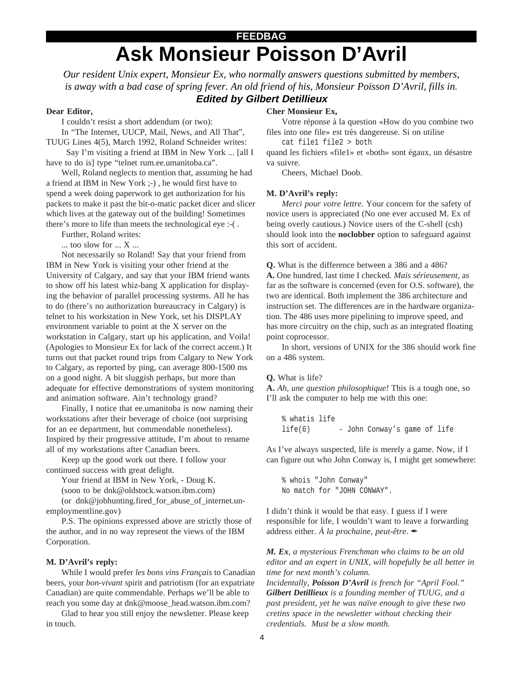# **Ask Monsieur Poisson D'Avril FEEDBAG**

*Our resident Unix expert, Monsieur Ex, who normally answers questions submitted by members, is away with a bad case of spring fever. An old friend of his, Monsieur Poisson D'Avril, fills in.* **Edited by Gilbert Detillieux**

### **Dear Editor,**

I couldn't resist a short addendum (or two):

In "The Internet, UUCP, Mail, News, and All That", TUUG Lines 4(5), March 1992, Roland Schneider writes:

 Say I'm visiting a friend at IBM in New York ... [all I have to do is] type "telnet rum.ee.umanitoba.ca".

Well, Roland neglects to mention that, assuming he had a friend at IBM in New York ;-) , he would first have to spend a week doing paperwork to get authorization for his packets to make it past the bit-o-matic packet dicer and slicer which lives at the gateway out of the building! Sometimes there's more to life than meets the technological eye :-( .

Further, Roland writes: ... too slow for ... X ...

Not necessarily so Roland! Say that your friend from IBM in New York is visiting your other friend at the University of Calgary, and say that your IBM friend wants to show off his latest whiz-bang X application for displaying the behavior of parallel processing systems. All he has to do (there's no authorization bureaucracy in Calgary) is telnet to his workstation in New York, set his DISPLAY environment variable to point at the X server on the workstation in Calgary, start up his application, and Voila! (Apologies to Monsieur Ex for lack of the correct accent.) It turns out that packet round trips from Calgary to New York to Calgary, as reported by ping, can average 800-1500 ms on a good night. A bit sluggish perhaps, but more than adequate for effective demonstrations of system monitoring and animation software. Ain't technology grand?

Finally, I notice that ee.umanitoba is now naming their workstations after their beverage of choice (not surprising for an ee department, but commendable nonetheless). Inspired by their progressive attitude, I'm about to rename all of my workstations after Canadian beers.

Keep up the good work out there. I follow your continued success with great delight.

Your friend at IBM in New York, - Doug K.

(soon to be dnk@oldstock.watson.ibm.com)

(or dnk@jobhunting.fired\_for\_abuse\_of\_internet.unemploymentline.gov)

P.S. The opinions expressed above are strictly those of the author, and in no way represent the views of the IBM Corporation.

### **M. D'Avril's reply:**

While I would prefer *les bons vins Français* to Canadian beers, your *bon-vivant* spirit and patriotism (for an expatriate Canadian) are quite commendable. Perhaps we'll be able to reach you some day at dnk@moose\_head.watson.ibm.com?

Glad to hear you still enjoy the newsletter. Please keep in touch.

### **Cher Monsieur Ex,**

Votre réponse à la question «How do you combine two files into one file» est très dangereuse. Si on utilise

cat file1 file2 > both

quand les fichiers «file1» et «both» sont égaux, un désastre va suivre.

Cheers, Michael Doob.

### **M. D'Avril's reply:**

*Merci pour votre lettre*. Your concern for the safety of novice users is appreciated (No one ever accused M. Ex of being overly cautious.) Novice users of the C-shell (csh) should look into the **noclobber** option to safeguard against this sort of accident.

**Q.** What is the difference between a 386 and a 486? **A.** One hundred, last time I checked. *Mais sérieusement*, as far as the software is concerned (even for O.S. software), the two are identical. Both implement the 386 architecture and instruction set. The differences are in the hardware organization. The 486 uses more pipelining to improve speed, and has more circuitry on the chip, such as an integrated floating point coprocessor.

In short, versions of UNIX for the 386 should work fine on a 486 system.

#### **Q.** What is life?

**A.** *Ah, une question philosophique!* This is a tough one, so I'll ask the computer to help me with this one:

% whatis life life(6) - John Conway's game of life

As I've always suspected, life is merely a game. Now, if I can figure out who John Conway is, I might get somewhere:

% whois "John Conway" No match for "JOHN CONWAY".

I didn't think it would be that easy. I guess if I were responsible for life, I wouldn't want to leave a forwarding address either. *À la prochaine*, *peut-être*.  $\mathscr{L}$ 

*M. Ex, a mysterious Frenchman who claims to be an old editor and an expert in UNIX, will hopefully be all better in time for next month's column.*

*Incidentally, Poisson D'Avril is french for "April Fool." Gilbert Detillieux is a founding member of TUUG, and a past president, yet he was naïve enough to give these two cretins space in the newsletter without checking their credentials. Must be a slow month.*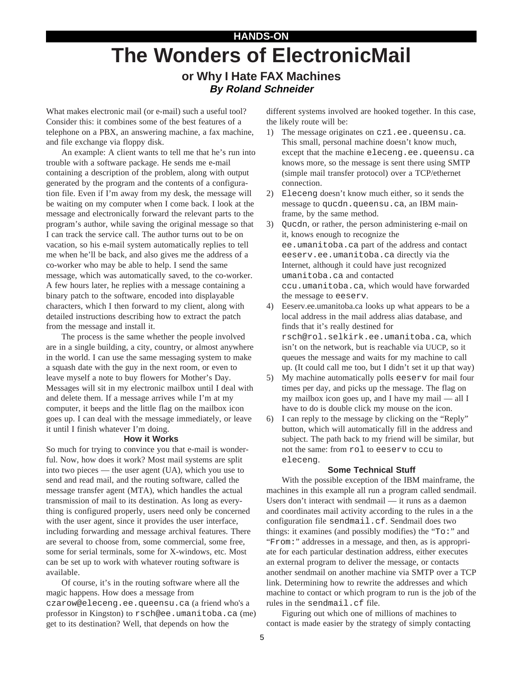# **HANDS-ON The Wonders of ElectronicMail**

# **or Why I Hate FAX Machines By Roland Schneider**

What makes electronic mail (or e-mail) such a useful tool? Consider this: it combines some of the best features of a telephone on a PBX, an answering machine, a fax machine, and file exchange via floppy disk.

An example: A client wants to tell me that he's run into trouble with a software package. He sends me e-mail containing a description of the problem, along with output generated by the program and the contents of a configuration file. Even if I'm away from my desk, the message will be waiting on my computer when I come back. I look at the message and electronically forward the relevant parts to the program's author, while saving the original message so that I can track the service call. The author turns out to be on vacation, so his e-mail system automatically replies to tell me when he'll be back, and also gives me the address of a co-worker who may be able to help. I send the same message, which was automatically saved, to the co-worker. A few hours later, he replies with a message containing a binary patch to the software, encoded into displayable characters, which I then forward to my client, along with detailed instructions describing how to extract the patch from the message and install it.

The process is the same whether the people involved are in a single building, a city, country, or almost anywhere in the world. I can use the same messaging system to make a squash date with the guy in the next room, or even to leave myself a note to buy flowers for Mother's Day. Messages will sit in my electronic mailbox until I deal with and delete them. If a message arrives while I'm at my computer, it beeps and the little flag on the mailbox icon goes up. I can deal with the message immediately, or leave it until I finish whatever I'm doing.

### **How it Works**

So much for trying to convince you that e-mail is wonderful. Now, how does it work? Most mail systems are split into two pieces — the user agent (UA), which you use to send and read mail, and the routing software, called the message transfer agent (MTA), which handles the actual transmission of mail to its destination. As long as everything is configured properly, users need only be concerned with the user agent, since it provides the user interface, including forwarding and message archival features. There are several to choose from, some commercial, some free, some for serial terminals, some for X-windows, etc. Most can be set up to work with whatever routing software is available.

Of course, it's in the routing software where all the magic happens. How does a message from czarow@eleceng.ee.queensu.ca (a friend who's a professor in Kingston) to rsch@ee.umanitoba.ca (me) get to its destination? Well, that depends on how the

different systems involved are hooked together. In this case, the likely route will be:

- 1) The message originates on cz1.ee.queensu.ca. This small, personal machine doesn't know much, except that the machine eleceng.ee.queensu.ca knows more, so the message is sent there using SMTP (simple mail transfer protocol) over a TCP/ethernet connection.
- 2) Eleceng doesn't know much either, so it sends the message to qucdn.queensu.ca, an IBM mainframe, by the same method.
- 3) Qucdn, or rather, the person administering e-mail on it, knows enough to recognize the ee.umanitoba.ca part of the address and contact eeserv.ee.umanitoba.ca directly via the Internet, although it could have just recognized umanitoba.ca and contacted ccu.umanitoba.ca, which would have forwarded the message to eeserv.
- 4) Eeserv.ee.umanitoba.ca looks up what appears to be a local address in the mail address alias database, and finds that it's really destined for rsch@rol.selkirk.ee.umanitoba.ca, which isn't on the network, but is reachable via UUCP, so it queues the message and waits for my machine to call up. (It could call me too, but I didn't set it up that way)
- 5) My machine automatically polls eeserv for mail four times per day, and picks up the message. The flag on my mailbox icon goes up, and I have my mail — all I have to do is double click my mouse on the icon.
- 6) I can reply to the message by clicking on the "Reply" button, which will automatically fill in the address and subject. The path back to my friend will be similar, but not the same: from rol to eeserv to ccu to eleceng.

### **Some Technical Stuff**

With the possible exception of the IBM mainframe, the machines in this example all run a program called sendmail. Users don't interact with sendmail — it runs as a daemon and coordinates mail activity according to the rules in a the configuration file sendmail.cf. Sendmail does two things: it examines (and possibly modifies) the "To:" and "From:" addresses in a message, and then, as is appropriate for each particular destination address, either executes an external program to deliver the message, or contacts another sendmail on another machine via SMTP over a TCP link. Determining how to rewrite the addresses and which machine to contact or which program to run is the job of the rules in the sendmail.cf file.

Figuring out which one of millions of machines to contact is made easier by the strategy of simply contacting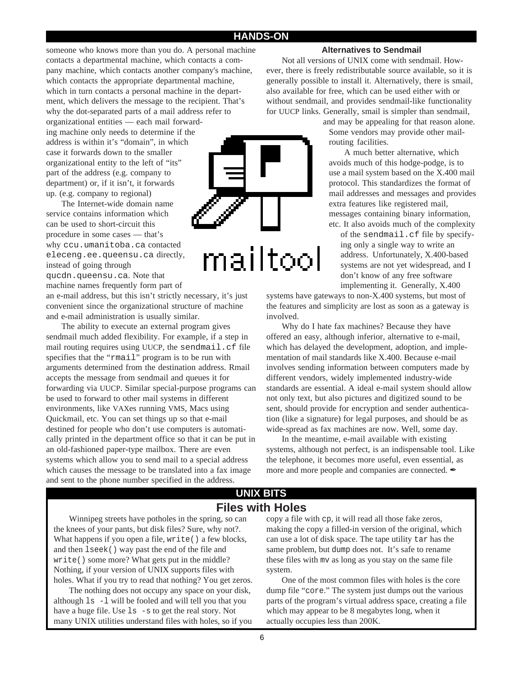### **HANDS-ON**

someone who knows more than you do. A personal machine contacts a departmental machine, which contacts a company machine, which contacts another company's machine, which contacts the appropriate departmental machine, which in turn contacts a personal machine in the department, which delivers the message to the recipient. That's why the dot-separated parts of a mail address refer to organizational entities — each mail forwarding machine only needs to determine if the address is within it's "domain", in which

case it forwards down to the smaller organizational entity to the left of "its" part of the address (e.g. company to department) or, if it isn't, it forwards up. (e.g. company to regional)

The Internet-wide domain name service contains information which can be used to short-circuit this procedure in some cases — that's why ccu.umanitoba.ca contacted eleceng.ee.queensu.ca directly, instead of going through

qucdn.queensu.ca. Note that machine names frequently form part of

an e-mail address, but this isn't strictly necessary, it's just convenient since the organizational structure of machine and e-mail administration is usually similar.

The ability to execute an external program gives sendmail much added flexibility. For example, if a step in mail routing requires using UUCP, the sendmail.cf file specifies that the "rmail" program is to be run with arguments determined from the destination address. Rmail accepts the message from sendmail and queues it for forwarding via UUCP. Similar special-purpose programs can be used to forward to other mail systems in different environments, like VAXes running VMS, Macs using Quickmail, etc. You can set things up so that e-mail destined for people who don't use computers is automatically printed in the department office so that it can be put in an old-fashioned paper-type mailbox. There are even systems which allow you to send mail to a special address which causes the message to be translated into a fax image and sent to the phone number specified in the address.



### **Alternatives to Sendmail**

Not all versions of UNIX come with sendmail. However, there is freely redistributable source available, so it is generally possible to install it. Alternatively, there is smail, also available for free, which can be used either with or without sendmail, and provides sendmail-like functionality for UUCP links. Generally, smail is simpler than sendmail,

and may be appealing for that reason alone. Some vendors may provide other mailrouting facilities.

A much better alternative, which avoids much of this hodge-podge, is to use a mail system based on the X.400 mail protocol. This standardizes the format of mail addresses and messages and provides extra features like registered mail, messages containing binary information, etc. It also avoids much of the complexity

of the sendmail.cf file by specifying only a single way to write an address. Unfortunately, X.400-based systems are not yet widespread, and I don't know of any free software implementing it. Generally, X.400

systems have gateways to non-X.400 systems, but most of the features and simplicity are lost as soon as a gateway is involved.

Why do I hate fax machines? Because they have offered an easy, although inferior, alternative to e-mail, which has delayed the development, adoption, and implementation of mail standards like X.400. Because e-mail involves sending information between computers made by different vendors, widely implemented industry-wide standards are essential. A ideal e-mail system should allow not only text, but also pictures and digitized sound to be sent, should provide for encryption and sender authentication (like a signature) for legal purposes, and should be as wide-spread as fax machines are now. Well, some day.

In the meantime, e-mail available with existing systems, although not perfect, is an indispensable tool. Like the telephone, it becomes more useful, even essential, as more and more people and companies are connected.  $\mathscr I$ 

## **Files with Holes UNIX BITS**

Winnipeg streets have potholes in the spring, so can the knees of your pants, but disk files? Sure, why not?. What happens if you open a file, write() a few blocks, and then lseek() way past the end of the file and write() some more? What gets put in the middle? Nothing, if your version of UNIX supports files with holes. What if you try to read that nothing? You get zeros.

The nothing does not occupy any space on your disk, although ls -l will be fooled and will tell you that you have a huge file. Use  $\text{ls}$  -s to get the real story. Not many UNIX utilities understand files with holes, so if you

copy a file with cp, it will read all those fake zeros, making the copy a filled-in version of the original, which can use a lot of disk space. The tape utility tar has the same problem, but dump does not. It's safe to rename these files with mv as long as you stay on the same file system.

One of the most common files with holes is the core dump file "core." The system just dumps out the various parts of the program's virtual address space, creating a file which may appear to be 8 megabytes long, when it actually occupies less than 200K.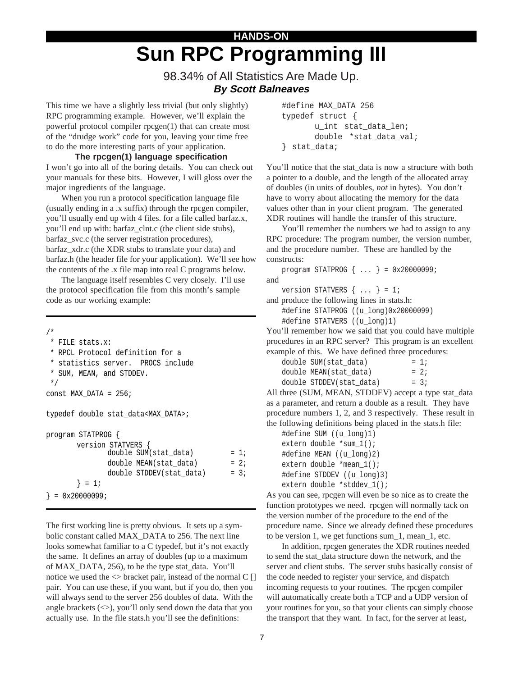# **HANDS-ON Sun RPC Programming III**

# 98.34% of All Statistics Are Made Up. **By Scott Balneaves**

This time we have a slightly less trivial (but only slightly) RPC programming example. However, we'll explain the powerful protocol compiler rpcgen(1) that can create most of the "drudge work" code for you, leaving your time free to do the more interesting parts of your application.

**The rpcgen(1) language specification** I won't go into all of the boring details. You can check out your manuals for these bits. However, I will gloss over the major ingredients of the language.

When you run a protocol specification language file (usually ending in a .x suffix) through the rpcgen compiler, you'll usually end up with 4 files. for a file called barfaz.x, you'll end up with: barfaz\_clnt.c (the client side stubs), barfaz\_svc.c (the server registration procedures), barfaz\_xdr.c (the XDR stubs to translate your data) and barfaz.h (the header file for your application). We'll see how the contents of the .x file map into real C programs below.

The language itself resembles C very closely. I'll use the protocol specification file from this month's sample code as our working example:

/\* \* FILE stats.x: \* RPCL Protocol definition for a \* statistics server. PROCS include \* SUM, MEAN, and STDDEV. \*/ const MAX\_DATA = 256; typedef double stat\_data<MAX\_DATA>; program STATPROG { version STATVERS { double SUM(stat data) =  $1;$ double  $MEM(stat_data)$  = 2; double STDDEV(stat data) =  $3;$  $} = 1;$  $} = 0x20000099;$ 

The first working line is pretty obvious. It sets up a symbolic constant called MAX\_DATA to 256. The next line looks somewhat familiar to a C typedef, but it's not exactly the same. It defines an array of doubles (up to a maximum of MAX\_DATA, 256), to be the type stat\_data. You'll notice we used the <> bracket pair, instead of the normal C [] pair. You can use these, if you want, but if you do, then you will always send to the server 256 doubles of data. With the angle brackets  $(\ll)$ , you'll only send down the data that you actually use. In the file stats.h you'll see the definitions:

```
#define MAX_DATA 256
typedef struct {
       u_int stat_data_len;
       double *stat_data_val;
} stat_data;
```
You'll notice that the stat\_data is now a structure with both a pointer to a double, and the length of the allocated array of doubles (in units of doubles, *not* in bytes). You don't have to worry about allocating the memory for the data values other than in your client program. The generated XDR routines will handle the transfer of this structure.

You'll remember the numbers we had to assign to any RPC procedure: The program number, the version number, and the procedure number. These are handled by the constructs:

```
program STATPROG { ... } = 0x20000099;
and
```
version STATVERS  $\{ \ldots \} = 1;$ 

and produce the following lines in stats.h:

```
#define STATPROG ((u_long)0x20000099)
#define STATVERS ((u_long)1)
```
You'll remember how we said that you could have multiple

procedures in an RPC server? This program is an excellent example of this. We have defined three procedures:

| double SUM(stat data)    | $= 1:$ |
|--------------------------|--------|
| double MEAN(stat data)   | $= 2i$ |
| double STDDEV(stat data) | $= 3:$ |

All three (SUM, MEAN, STDDEV) accept a type stat\_data as a parameter, and return a double as a result. They have procedure numbers 1, 2, and 3 respectively. These result in the following definitions being placed in the stats.h file:

```
#define SUM ((u_long)1)
extern double *sum_1();
#define MEAN ((u_long)2)
extern double *mean_1();
#define STDDEV ((u_long)3)
extern double *stddev_1();
```
As you can see, rpcgen will even be so nice as to create the function prototypes we need. rpcgen will normally tack on the version number of the procedure to the end of the procedure name. Since we already defined these procedures to be version 1, we get functions sum\_1, mean\_1, etc.

In addition, rpcgen generates the XDR routines needed to send the stat\_data structure down the network, and the server and client stubs. The server stubs basically consist of the code needed to register your service, and dispatch incoming requests to your routines. The rpcgen compiler will automatically create both a TCP and a UDP version of your routines for you, so that your clients can simply choose the transport that they want. In fact, for the server at least,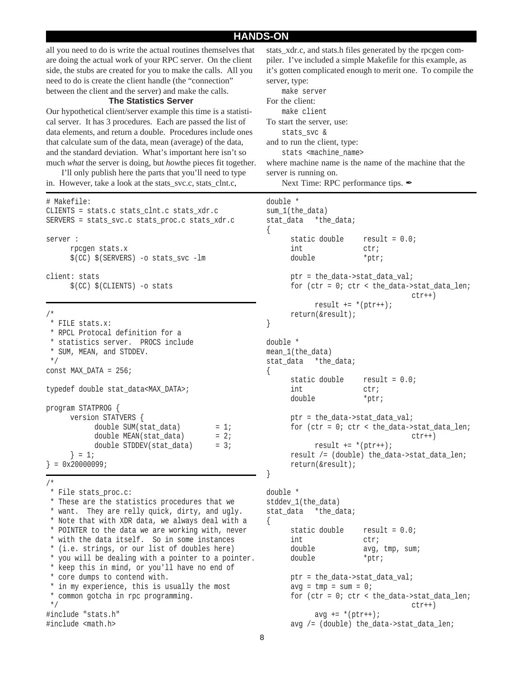### **HANDS-ON**

all you need to do is write the actual routines themselves that are doing the actual work of your RPC server. On the client side, the stubs are created for you to make the calls. All you need to do is create the client handle (the "connection" between the client and the server) and make the calls.

### **The Statistics Server**

Our hypothetical client/server example this time is a statistical server. It has 3 procedures. Each are passed the list of data elements, and return a double. Procedures include ones that calculate sum of the data, mean (average) of the data, and the standard deviation. What's important here isn't so much *what* the server is doing, but *how*the pieces fit together.

I'll only publish here the parts that you'll need to type in. However, take a look at the stats\_svc.c, stats\_clnt.c,

#### # Makefile:

```
CLIENTS = stats.c stats_clnt.c stats_xdr.c
SERVERS = stats_svc.c stats_proc.c stats_xdr.c
server :
     rpcgen stats.x
      $(CC) $(SERVERS) -o stats_svc -lm
client: stats
      $(CC) $(CLIENTS) -o stats
```

```
/*
```

```
 * FILE stats.x:
  * RPCL Protocal definition for a
  * statistics server. PROCS include
  * SUM, MEAN, and STDDEV.
  */
const MAX_DATA = 256;
typedef double stat_data<MAX_DATA>;
program STATPROG {
     version STATVERS {
           double SUM(stat_data) = 1;
           double MEAN(stat_data) = 2;
           double STDDEV(stat_data) = 3;
     } = 1;} = 0x20000099;
```
/\*

```
 * File stats_proc.c:
 * These are the statistics procedures that we
 * want. They are relly quick, dirty, and ugly.
  * Note that with XDR data, we always deal with a
  * POINTER to the data we are working with, never
 * with the data itself. So in some instances
  * (i.e. strings, or our list of doubles here)
  * you will be dealing with a pointer to a pointer.
  * keep this in mind, or you'll have no end of
 * core dumps to contend with.
 * in my experience, this is usually the most
 * common gotcha in rpc programming.
 */
#include "stats.h"
#include <math.h>
```
stats\_xdr.c, and stats.h files generated by the rpcgen compiler. I've included a simple Makefile for this example, as it's gotten complicated enough to merit one. To compile the server, type: make server For the client: make client

To start the server, use: stats\_svc & and to run the client, type: stats <machine\_name> where machine name is the name of the machine that the server is running on.

Next Time: RPC performance tips.

```
double *
sum_1(the_data)
stat_data *the_data;
{
     static double result = 0.0;
     int ctr;
     double *ptr;
     ptr = the_data->stat_data_val;
     for (ctr = 0; ctr < the_data->stat_data_len;
                               ctr++)result += *(ptr++);
     return(&result);
}
double *
mean_1(the_data)
stat_data *the_data;
{
     static double result = 0.0;
     int ctr;
     double *ptr;
     ptr = the_data->stat_data_val;
     for (ctr = 0; ctr < the_data->stat_data_len;
                               ctr++)result += *(ptr++);
     result /= (double) the_data->stat_data_len;
     return(&result);
}
double *
stddev_1(the_data)
stat data *the data;
{
     static double result = 0.0;
     int ctr;
     double avg, tmp, sum;
     double *ptr;
     ptr = the_data->stat_data_val;
```

```
avg = tmp = sum = 0;for (ctr = 0; ctr < the_data->stat_data_len;
                             ctr++)avg += * (ptr++);
avg /= (double) the_data->stat_data_len;
```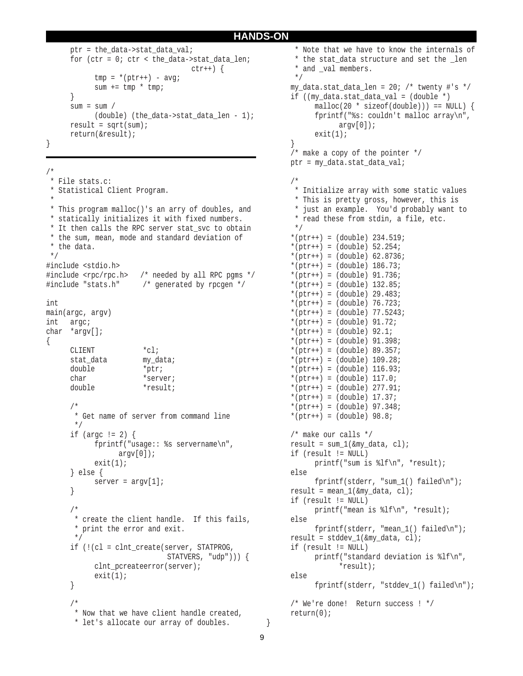### **HANDS-ON**

```
ptr = the data->stat data val;
for (ctr = 0; ctr < the_data->stat_data_len;
                             ctr++) {
     tmp = *(ptr++) - avg;sum += tmp * tmp;
}
sum = sum /(double) (the_data->stat_data_len - 1);
result = sqrt(sum);return(&result);
```
}

```
/*
 * File stats.c:
 * Statistical Client Program.
 *
 * This program malloc()'s an arry of doubles, and
 * statically initializes it with fixed numbers.
  * It then calls the RPC server stat_svc to obtain
 * the sum, mean, mode and standard deviation of
  * the data.
 */
#include <stdio.h>
#include <rpc/rpc.h> /* needed by all RPC pgms */
#include "stats.h" /* generated by rpcgen */
int
main(argc, argv)
int argc;
char *argv[];
{
     CLIENT *cl;
     stat data my data;
     double *ptr;
     char *server;
     double *result;
     /*
       * Get name of server from command line
       */
     if (argc != 2) {
           fprintf("usage:: %s servername\n",
                argv[0]);
           exit(1);} else {
         server = \text{arqu}[1];
     }
     /*
       * create the client handle. If this fails,
       * print the error and exit.
       */
     if (!(cl = clnt_create(server, STATPROG,
                            STATVERS, "udp"))) {
           clnt_pcreateerror(server);
           exit(1);
     }
      /*
       * Now that we have client handle created,
       * let's allocate our array of doubles.
```

```
 * Note that we have to know the internals of
  * the stat_data structure and set the _len
 * and val members.
  */
my data.stat data len = 20; /* twenty #'s */
if ((my data.stat data val = (double *)
      malloc(20 * sizeof(double))) == NULL)fprintf("%s: couldn't malloc array\n",
            \arctan[0];
      exit(1);}
/* make a copy of the pointer */
ptr = my_data.stat_data_val;
/*
  * Initialize array with some static values
  * This is pretty gross, however, this is
  * just an example. You'd probably want to
  * read these from stdin, a file, etc.
  */
*(ptr++) = (double) 234.519;
*(ptr++) = (double) 52.254;*(ptr++) = (double) 62.8736;
*(ptr++) = (double) 186.73;*(ptr++) = (double) 91.736;*(ptr++) = (double) 132.85;
*(ptr++) = (double) 29.483;*(ptr++) = (double) 76.723;*(ptr++) = (double) 77.5243;*(ptr++) = (double) 91.72;*(ptr++) = (double) 92.1;*(ptr++) = (double) 91.398;*(ptr++) = (double) 89.357;*(ptr++) = (double) 109.28;*(ptr++) = (double) 116.93;*(ptr++) = (double) 117.0;*(ptr++) = (double) 277.91;*(ptr++) = (double) 17.37;*(ptr++) = (double) 97.348;
*(ptr++) = (double) 98.8;/* make our calls */
result = sum 1(&my data, cl);
if (result != NULL)
      printf("sum is %lf\n", *result);
else
      fprintf(stderr, "sum 1() failed\n");
result = mean 1(&my data, cl);
if (result != NULL)
      printf("mean is %lf\n", *result);
else
      fprintf(stderr, "mean_1() failed\n");
result = stddev_1(\&my_data, c1);if (result != NULL)
      printf("standard deviation is %lf\n",
            *result);
else
      fprintf(stderr, "stddev_1() failed\n");
/* We're done! Return success ! */
return(0);
```
}